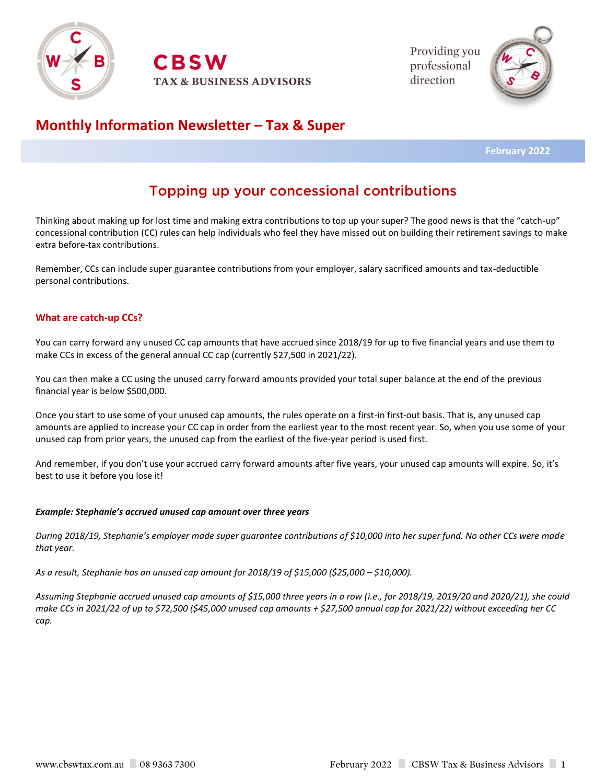

**RSW TAX & BUSINESS ADVISORS**  Providing you professional direction



## **Monthly Information Newsletter – Tax & Super**

 **February 2022**

# Topping up your concessional contributions

Thinking about making up for lost time and making extra contributions to top up your super? The good news is that the "catch-up" concessional contribution (CC) rules can help individuals who feel they have missed out on building their retirement savings to make extra before-tax contributions.

Remember, CCs can include super guarantee contributions from your employer, salary sacrificed amounts and tax-deductible personal contributions.

## **What are catch-up CCs?**

You can carry forward any unused CC cap amounts that have accrued since 2018/19 for up to five financial years and use them to make CCs in excess of the general annual CC cap (currently \$27,500 in 2021/22).

You can then make a CC using the unused carry forward amounts provided your total super balance at the end of the previous financial year is below \$500,000.

Once you start to use some of your unused cap amounts, the rules operate on a first-in first-out basis. That is, any unused cap amounts are applied to increase your CC cap in order from the earliest year to the most recent year. So, when you use some of your unused cap from prior years, the unused cap from the earliest of the five-year period is used first.

And remember, if you don't use your accrued carry forward amounts after five years, your unused cap amounts will expire. So, it's best to use it before you lose it!

#### *Example: Stephanie's accrued unused cap amount over three years*

*During 2018/19, Stephanie's employer made super guarantee contributions of \$10,000 into her super fund. No other CCs were made that year.*

*As a result, Stephanie has an unused cap amount for 2018/19 of \$15,000 (\$25,000 – \$10,000).*

*Assuming Stephanie accrued unused cap amounts of \$15,000 three years in a row (i.e., for 2018/19, 2019/20 and 2020/21), she could make CCs in 2021/22 of up to \$72,500 (\$45,000 unused cap amounts + \$27,500 annual cap for 2021/22) without exceeding her CC cap.*